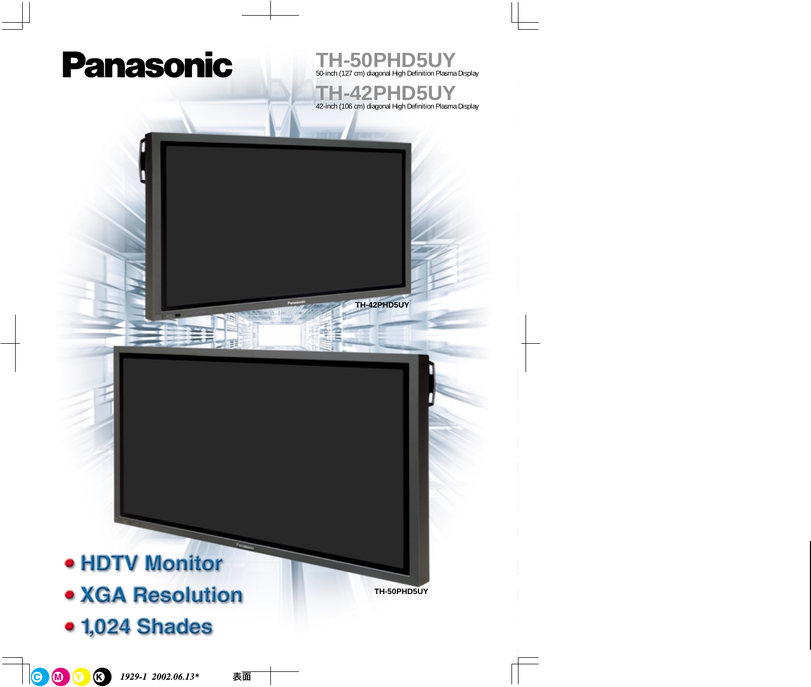

TH-50PHD5UY<br>50-inch (127 cm) diagonal High Definition Plasma Display

**TH-42PHD5UY** 42-inch (106 cm) diagonal High Definition Plasma Display

**TH-42PHD5UY**

• HDTV Monitor · XGA Resolution • 1,024 Shades

**TH-50PHD5UY**

C M V K 1929-1 2002.06.13\*

表面